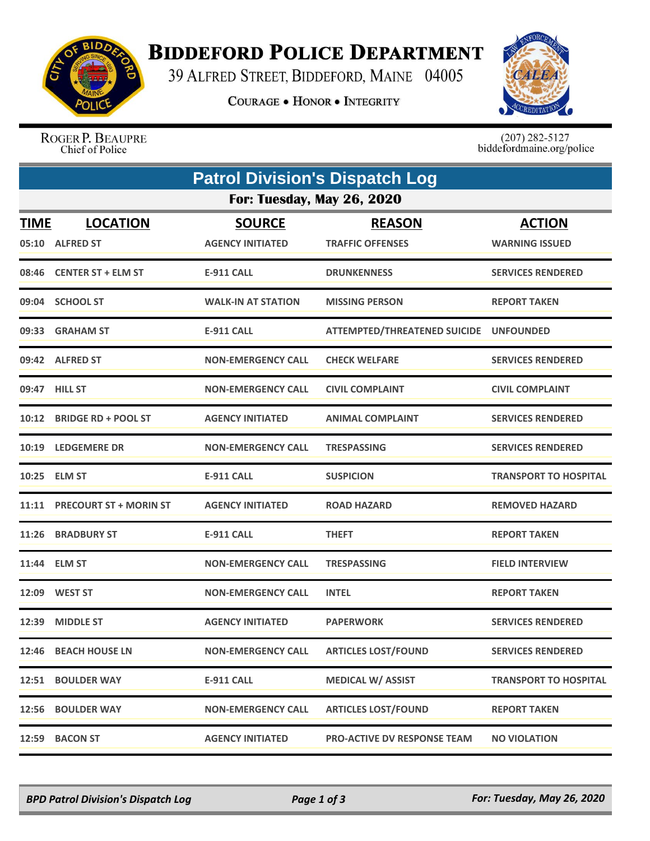

## **BIDDEFORD POLICE DEPARTMENT**

39 ALFRED STREET, BIDDEFORD, MAINE 04005

**COURAGE . HONOR . INTEGRITY** 



ROGER P. BEAUPRE Chief of Police

 $(207)$  282-5127<br>biddefordmaine.org/police

|                                   | <b>Patrol Division's Dispatch Log</b> |                                          |                                          |                                        |  |  |  |
|-----------------------------------|---------------------------------------|------------------------------------------|------------------------------------------|----------------------------------------|--|--|--|
| <b>For: Tuesday, May 26, 2020</b> |                                       |                                          |                                          |                                        |  |  |  |
| <b>TIME</b>                       | <b>LOCATION</b><br>05:10 ALFRED ST    | <b>SOURCE</b><br><b>AGENCY INITIATED</b> | <b>REASON</b><br><b>TRAFFIC OFFENSES</b> | <b>ACTION</b><br><b>WARNING ISSUED</b> |  |  |  |
|                                   | 08:46 CENTER ST + ELM ST              | <b>E-911 CALL</b>                        | <b>DRUNKENNESS</b>                       | <b>SERVICES RENDERED</b>               |  |  |  |
|                                   | 09:04 SCHOOL ST                       | <b>WALK-IN AT STATION</b>                | <b>MISSING PERSON</b>                    | <b>REPORT TAKEN</b>                    |  |  |  |
|                                   | 09:33 GRAHAM ST                       | E-911 CALL                               | ATTEMPTED/THREATENED SUICIDE UNFOUNDED   |                                        |  |  |  |
|                                   | 09:42 ALFRED ST                       | <b>NON-EMERGENCY CALL</b>                | <b>CHECK WELFARE</b>                     | <b>SERVICES RENDERED</b>               |  |  |  |
|                                   | 09:47 HILL ST                         | <b>NON-EMERGENCY CALL</b>                | <b>CIVIL COMPLAINT</b>                   | <b>CIVIL COMPLAINT</b>                 |  |  |  |
|                                   | 10:12 BRIDGE RD + POOL ST             | <b>AGENCY INITIATED</b>                  | <b>ANIMAL COMPLAINT</b>                  | <b>SERVICES RENDERED</b>               |  |  |  |
| 10:19                             | <b>LEDGEMERE DR</b>                   | <b>NON-EMERGENCY CALL</b>                | <b>TRESPASSING</b>                       | <b>SERVICES RENDERED</b>               |  |  |  |
|                                   | 10:25 ELM ST                          | <b>E-911 CALL</b>                        | <b>SUSPICION</b>                         | <b>TRANSPORT TO HOSPITAL</b>           |  |  |  |
|                                   | 11:11 PRECOURT ST + MORIN ST          | <b>AGENCY INITIATED</b>                  | <b>ROAD HAZARD</b>                       | <b>REMOVED HAZARD</b>                  |  |  |  |
|                                   | 11:26 BRADBURY ST                     | <b>E-911 CALL</b>                        | <b>THEFT</b>                             | <b>REPORT TAKEN</b>                    |  |  |  |
|                                   | 11:44 ELM ST                          | <b>NON-EMERGENCY CALL</b>                | <b>TRESPASSING</b>                       | <b>FIELD INTERVIEW</b>                 |  |  |  |
|                                   | 12:09 WEST ST                         | <b>NON-EMERGENCY CALL</b>                | <b>INTEL</b>                             | <b>REPORT TAKEN</b>                    |  |  |  |
| 12:39                             | <b>MIDDLE ST</b>                      | <b>AGENCY INITIATED</b>                  | <b>PAPERWORK</b>                         | <b>SERVICES RENDERED</b>               |  |  |  |
| 12:46                             | <b>BEACH HOUSE LN</b>                 | <b>NON-EMERGENCY CALL</b>                | <b>ARTICLES LOST/FOUND</b>               | <b>SERVICES RENDERED</b>               |  |  |  |
|                                   | 12:51 BOULDER WAY                     | E-911 CALL                               | <b>MEDICAL W/ ASSIST</b>                 | <b>TRANSPORT TO HOSPITAL</b>           |  |  |  |
| 12:56                             | <b>BOULDER WAY</b>                    | <b>NON-EMERGENCY CALL</b>                | <b>ARTICLES LOST/FOUND</b>               | <b>REPORT TAKEN</b>                    |  |  |  |
| 12:59                             | <b>BACON ST</b>                       | <b>AGENCY INITIATED</b>                  | <b>PRO-ACTIVE DV RESPONSE TEAM</b>       | <b>NO VIOLATION</b>                    |  |  |  |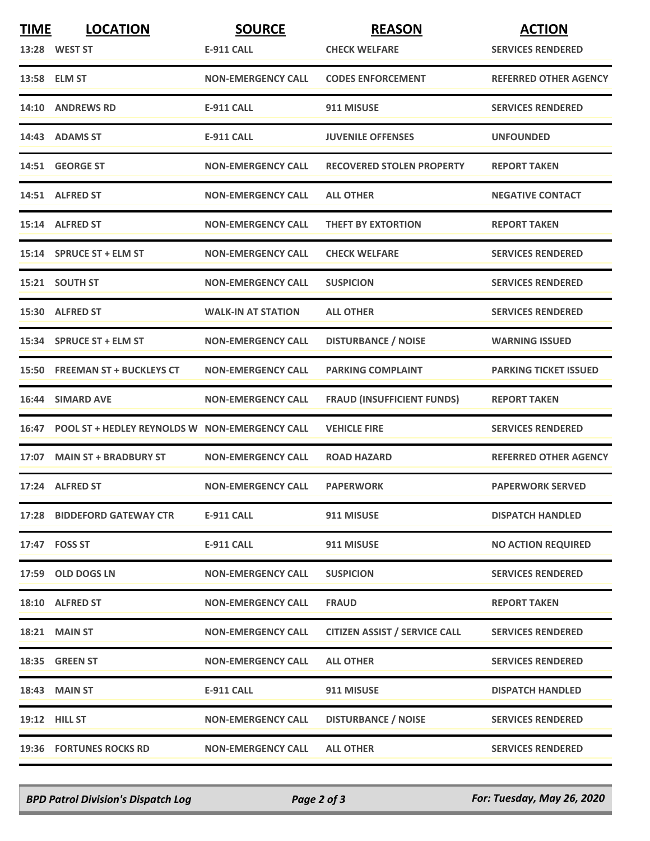| <b>TIME</b> | <b>LOCATION</b>                                      | <b>SOURCE</b>             | <b>REASON</b>                        | <b>ACTION</b>                |
|-------------|------------------------------------------------------|---------------------------|--------------------------------------|------------------------------|
|             | 13:28 WEST ST                                        | <b>E-911 CALL</b>         | <b>CHECK WELFARE</b>                 | <b>SERVICES RENDERED</b>     |
|             | 13:58 ELM ST                                         | <b>NON-EMERGENCY CALL</b> | <b>CODES ENFORCEMENT</b>             | <b>REFERRED OTHER AGENCY</b> |
|             | 14:10 ANDREWS RD                                     | <b>E-911 CALL</b>         | 911 MISUSE                           | <b>SERVICES RENDERED</b>     |
|             | 14:43 ADAMS ST                                       | <b>E-911 CALL</b>         | <b>JUVENILE OFFENSES</b>             | <b>UNFOUNDED</b>             |
|             | 14:51 GEORGE ST                                      | <b>NON-EMERGENCY CALL</b> | <b>RECOVERED STOLEN PROPERTY</b>     | <b>REPORT TAKEN</b>          |
|             | 14:51 ALFRED ST                                      | <b>NON-EMERGENCY CALL</b> | <b>ALL OTHER</b>                     | <b>NEGATIVE CONTACT</b>      |
|             | 15:14 ALFRED ST                                      | <b>NON-EMERGENCY CALL</b> | <b>THEFT BY EXTORTION</b>            | <b>REPORT TAKEN</b>          |
|             | 15:14 SPRUCE ST + ELM ST                             | <b>NON-EMERGENCY CALL</b> | <b>CHECK WELFARE</b>                 | <b>SERVICES RENDERED</b>     |
|             | 15:21 SOUTH ST                                       | <b>NON-EMERGENCY CALL</b> | <b>SUSPICION</b>                     | <b>SERVICES RENDERED</b>     |
|             | 15:30 ALFRED ST                                      | <b>WALK-IN AT STATION</b> | <b>ALL OTHER</b>                     | <b>SERVICES RENDERED</b>     |
|             | 15:34 SPRUCE ST + ELM ST                             | <b>NON-EMERGENCY CALL</b> | <b>DISTURBANCE / NOISE</b>           | <b>WARNING ISSUED</b>        |
|             | 15:50 FREEMAN ST + BUCKLEYS CT                       | <b>NON-EMERGENCY CALL</b> | <b>PARKING COMPLAINT</b>             | <b>PARKING TICKET ISSUED</b> |
| 16:44       | <b>SIMARD AVE</b>                                    | <b>NON-EMERGENCY CALL</b> | <b>FRAUD (INSUFFICIENT FUNDS)</b>    | <b>REPORT TAKEN</b>          |
|             | 16:47 POOL ST + HEDLEY REYNOLDS W NON-EMERGENCY CALL |                           | <b>VEHICLE FIRE</b>                  | <b>SERVICES RENDERED</b>     |
|             | 17:07 MAIN ST + BRADBURY ST                          | <b>NON-EMERGENCY CALL</b> | <b>ROAD HAZARD</b>                   | <b>REFERRED OTHER AGENCY</b> |
|             | 17:24 ALFRED ST                                      | <b>NON-EMERGENCY CALL</b> | <b>PAPERWORK</b>                     | <b>PAPERWORK SERVED</b>      |
|             | 17:28 BIDDEFORD GATEWAY CTR                          | <b>E-911 CALL</b>         | 911 MISUSE                           | <b>DISPATCH HANDLED</b>      |
|             | 17:47 FOSS ST                                        | <b>E-911 CALL</b>         | 911 MISUSE                           | <b>NO ACTION REQUIRED</b>    |
|             | 17:59 OLD DOGS LN                                    | <b>NON-EMERGENCY CALL</b> | <b>SUSPICION</b>                     | <b>SERVICES RENDERED</b>     |
|             | 18:10 ALFRED ST                                      | <b>NON-EMERGENCY CALL</b> | <b>FRAUD</b>                         | <b>REPORT TAKEN</b>          |
|             | 18:21 MAIN ST                                        | <b>NON-EMERGENCY CALL</b> | <b>CITIZEN ASSIST / SERVICE CALL</b> | <b>SERVICES RENDERED</b>     |
|             | 18:35 GREEN ST                                       | <b>NON-EMERGENCY CALL</b> | <b>ALL OTHER</b>                     | <b>SERVICES RENDERED</b>     |
|             | <b>18:43 MAIN ST</b>                                 | <b>E-911 CALL</b>         | 911 MISUSE                           | <b>DISPATCH HANDLED</b>      |
|             | 19:12 HILL ST                                        | <b>NON-EMERGENCY CALL</b> | <b>DISTURBANCE / NOISE</b>           | <b>SERVICES RENDERED</b>     |
|             | 19:36 FORTUNES ROCKS RD                              | <b>NON-EMERGENCY CALL</b> | <b>ALL OTHER</b>                     | <b>SERVICES RENDERED</b>     |

*BPD Patrol Division's Dispatch Log Page 2 of 3 For: Tuesday, May 26, 2020*